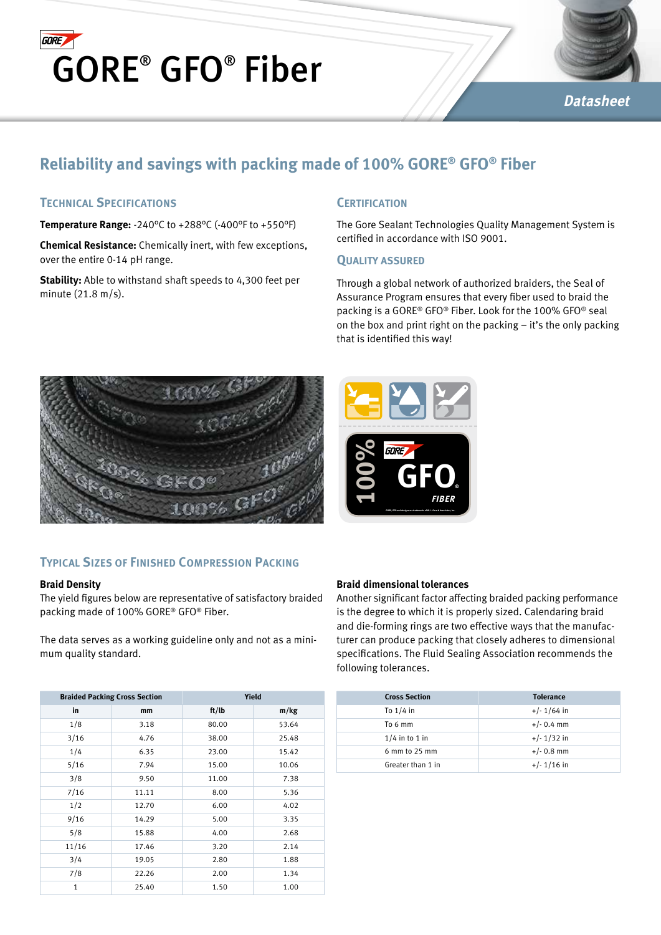



# **Datasheet**

# **Reliability and savings with packing made of 100% GORE® GFO® Fiber**

# **Technical Specifications**

**Temperature Range:** -240°C to +288°C (-400°F to +550°F)

**Chemical Resistance:** Chemically inert, with few exceptions, over the entire 0-14 pH range.

**Stability:** Able to withstand shaft speeds to 4,300 feet per minute (21.8 m/s).

## **Certification**

The Gore Sealant Technologies Quality Management System is certified in accordance with ISO 9001.

#### **QUALITY ASSURED**

Through a global network of authorized braiders, the Seal of Assurance Program ensures that every fiber used to braid the packing is a GORE® GFO® Fiber. Look for the 100% GFO® seal on the box and print right on the packing – it's the only packing that is identified this way!



# **Typical Sizes of Finished Compression Packing**

#### **Braid Density**

The yield figures below are representative of satisfactory braided packing made of 100% GORE® GFO® Fiber.

The data serves as a working guideline only and not as a minimum quality standard.

| <b>Braided Packing Cross Section</b> |       | Yield |       |
|--------------------------------------|-------|-------|-------|
| in                                   | mm    | ft/lb | m/kg  |
| 1/8                                  | 3.18  | 80.00 | 53.64 |
| 3/16                                 | 4.76  | 38.00 | 25.48 |
| 1/4                                  | 6.35  | 23.00 | 15.42 |
| 5/16                                 | 7.94  | 15.00 | 10.06 |
| 3/8                                  | 9.50  | 11.00 | 7.38  |
| 7/16                                 | 11.11 | 8.00  | 5.36  |
| 1/2                                  | 12.70 | 6.00  | 4.02  |
| 9/16                                 | 14.29 | 5.00  | 3.35  |
| 5/8                                  | 15.88 | 4.00  | 2.68  |
| 11/16                                | 17.46 | 3.20  | 2.14  |
| 3/4                                  | 19.05 | 2.80  | 1.88  |
| 7/8                                  | 22.26 | 2.00  | 1.34  |
| $\mathbf{1}$                         | 25.40 | 1.50  | 1.00  |



#### **Braid dimensional tolerances**

Another significant factor affecting braided packing performance is the degree to which it is properly sized. Calendaring braid and die-forming rings are two effective ways that the manufacturer can produce packing that closely adheres to dimensional specifications. The Fluid Sealing Association recommends the following tolerances.

| <b>Cross Section</b> | <b>Tolerance</b> |
|----------------------|------------------|
| To $1/4$ in          | $+/- 1/64$ in    |
| To 6 mm              | $+/- 0.4$ mm     |
| $1/4$ in to 1 in     | $+/- 1/32$ in    |
| $6$ mm to 25 mm      | $+/- 0.8$ mm     |
| Greater than 1 in    | $+/- 1/16$ in    |